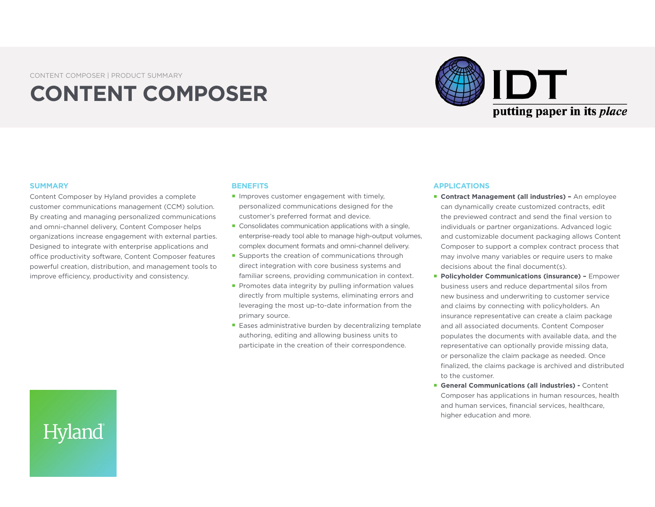CONTENT COMPOSER | PRODUCT SUMMARY

# **CONTENT COMPOSER**



#### **SUMMARY**

Hyland

Content Composer by Hyland provides a complete customer communications management (CCM) solution. By creating and managing personalized communications and omni-channel delivery, Content Composer helps organizations increase engagement with external parties. Designed to integrate with enterprise applications and office productivity software, Content Composer features powerful creation, distribution, and management tools to improve efficiency, productivity and consistency.

#### **BENEFITS**

- **Improves customer engagement with timely,** personalized communications designed for the customer's preferred format and device.
- Consolidates communication applications with a single, enterprise-ready tool able to manage high-output volumes, complex document formats and omni-channel delivery.
- Supports the creation of communications through direct integration with core business systems and familiar screens, providing communication in context.
- Promotes data integrity by pulling information values directly from multiple systems, eliminating errors and leveraging the most up-to-date information from the primary source.
- Eases administrative burden by decentralizing template authoring, editing and allowing business units to participate in the creation of their correspondence.

#### **APPLICATIONS**

- **E** Contract Management (all industries) An employee can dynamically create customized contracts, edit the previewed contract and send the final version to individuals or partner organizations. Advanced logic and customizable document packaging allows Content Composer to support a complex contract process that may involve many variables or require users to make decisions about the final document(s).
- **Policyholder Communications (insurance) -** Empower business users and reduce departmental silos from new business and underwriting to customer service and claims by connecting with policyholders. An insurance representative can create a claim package and all associated documents. Content Composer populates the documents with available data, and the representative can optionally provide missing data, or personalize the claim package as needed. Once finalized, the claims package is archived and distributed to the customer.
- **General Communications (all industries) Content** Composer has applications in human resources, health and human services, financial services, healthcare, higher education and more.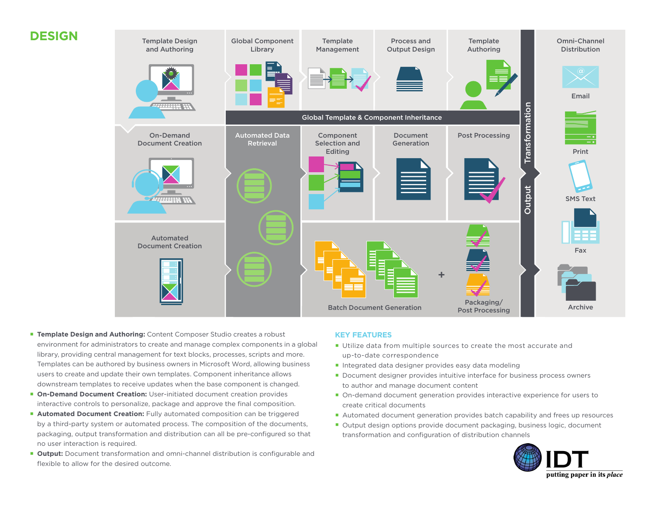

- **Template Design and Authoring:** Content Composer Studio creates a robust environment for administrators to create and manage complex components in a global library, providing central management for text blocks, processes, scripts and more. Templates can be authored by business owners in Microsoft Word, allowing business users to create and update their own templates. Component inheritance allows downstream templates to receive updates when the base component is changed.
- **On-Demand Document Creation:** User-initiated document creation provides interactive controls to personalize, package and approve the final composition.
- **Automated Document Creation:** Fully automated composition can be triggered by a third-party system or automated process. The composition of the documents, packaging, output transformation and distribution can all be pre-configured so that no user interaction is required.
- **Output:** Document transformation and omni-channel distribution is configurable and flexible to allow for the desired outcome.

### **KEY FEATURES**

- **Utilize data from multiple sources to create the most accurate and** up-to-date correspondence
- **Integrated data designer provides easy data modeling**
- Document designer provides intuitive interface for business process owners to author and manage document content
- On-demand document generation provides interactive experience for users to create critical documents
- **Automated document generation provides batch capability and frees up resources**
- Output design options provide document packaging, business logic, document transformation and configuration of distribution channels